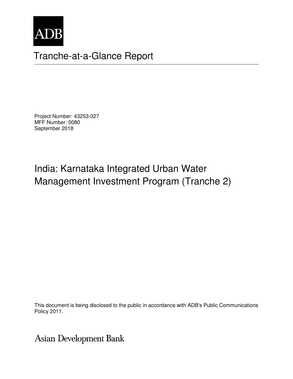

# Tranche-at-a-Glance Report

Project Number: 43253-027 MFF Number: 0080 September 2018

# India: Karnataka Integrated Urban Water Management Investment Program (Tranche 2)

This document is being disclosed to the public in accordance with ADB's Public Communications Policy 2011.

**Asian Development Bank**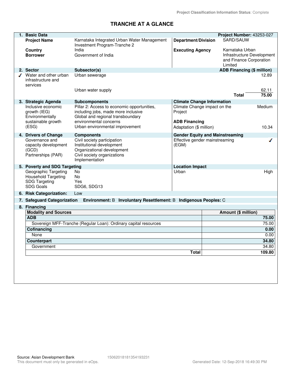## **TRANCHE AT A GLANCE**

| 1. Basic Data                                                                                  |                                                                                                                                         |                                         |                                        | Project Number: 43253-027                             |
|------------------------------------------------------------------------------------------------|-----------------------------------------------------------------------------------------------------------------------------------------|-----------------------------------------|----------------------------------------|-------------------------------------------------------|
| <b>Project Name</b>                                                                            | Karnataka Integrated Urban Water Management<br>Investment Program-Tranche 2                                                             | <b>Department/Division</b>              | SARD/SAUW                              |                                                       |
| <b>Country</b><br><b>Borrower</b>                                                              | India<br>Government of India                                                                                                            | <b>Executing Agency</b>                 | Karnataka Urban<br>Limited             | Infrastructure Development<br>and Finance Corporation |
| 2. Sector                                                                                      | Subsector(s)                                                                                                                            |                                         |                                        | <b>ADB Financing (\$ million)</b>                     |
| Water and other urban<br>infrastructure and<br>services                                        | Urban sewerage<br>Urban water supply                                                                                                    |                                         |                                        | 12.89<br>62.11                                        |
|                                                                                                |                                                                                                                                         |                                         | <b>Total</b>                           | 75.00                                                 |
| 3. Strategic Agenda                                                                            | <b>Subcomponents</b>                                                                                                                    | <b>Climate Change Information</b>       |                                        |                                                       |
| Inclusive economic<br>growth (IEG)<br>Environmentally                                          | Pillar 2: Access to economic opportunities,<br>including jobs, made more inclusive<br>Global and regional transboundary                 | Climate Change impact on the<br>Project |                                        | Medium                                                |
| sustainable growth                                                                             | environmental concerns                                                                                                                  | <b>ADB Financing</b>                    |                                        |                                                       |
| (ESG)                                                                                          | Urban environmental improvement                                                                                                         | Adaptation (\$ million)                 |                                        | 10.34                                                 |
| 4. Drivers of Change                                                                           | <b>Components</b>                                                                                                                       |                                         | <b>Gender Equity and Mainstreaming</b> |                                                       |
| Governance and<br>capacity development<br>(GCD)<br>Partnerships (PAR)                          | Civil society participation<br>Institutional development<br>Organizational development<br>Civil society organizations<br>Implementation | Effective gender mainstreaming<br>(EGM) |                                        | ℐ                                                     |
| 5. Poverty and SDG Targeting                                                                   |                                                                                                                                         | <b>Location Impact</b>                  |                                        |                                                       |
| Geographic Targeting<br><b>Household Targeting</b><br><b>SDG Targeting</b><br><b>SDG Goals</b> | No<br>No<br>Yes<br>SDG6, SDG13                                                                                                          | Urban                                   |                                        | High                                                  |
| 6. Risk Categorization:                                                                        | Low                                                                                                                                     |                                         |                                        |                                                       |
| 7. Safeguard Categorization                                                                    | Environment: B Involuntary Resettlement: B Indigenous Peoples: C                                                                        |                                         |                                        |                                                       |
| 8. Financing                                                                                   |                                                                                                                                         |                                         |                                        |                                                       |
| <b>Modality and Sources</b>                                                                    |                                                                                                                                         |                                         | Amount (\$ million)                    |                                                       |
| <b>ADB</b>                                                                                     |                                                                                                                                         |                                         |                                        | 75.00                                                 |
|                                                                                                | Sovereign MFF-Tranche (Regular Loan): Ordinary capital resources                                                                        |                                         |                                        | 75.00                                                 |
| <b>Cofinancing</b>                                                                             |                                                                                                                                         |                                         |                                        | 0.00                                                  |
| None                                                                                           |                                                                                                                                         |                                         |                                        | 0.00                                                  |
| Counterpart                                                                                    |                                                                                                                                         |                                         |                                        | 34.80                                                 |
| Government                                                                                     |                                                                                                                                         |                                         |                                        | 34.80                                                 |
|                                                                                                |                                                                                                                                         | <b>Total</b>                            |                                        | 109.80                                                |
|                                                                                                |                                                                                                                                         |                                         |                                        |                                                       |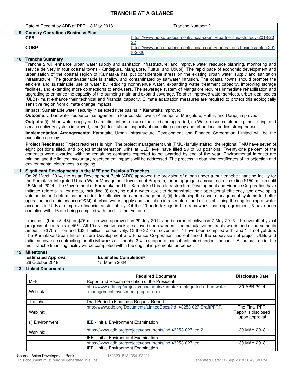### **TRANCHE AT A GLANCE**

| Date of Receipt by ADB of PFR: 18 May 2018 | Tranche Number: 2                                                                  |
|--------------------------------------------|------------------------------------------------------------------------------------|
| 9. Country Operations Business Plan        |                                                                                    |
| <b>CPS</b>                                 | https://www.adb.org/documents/india-country-partnership-strategy-2018-20<br>22     |
| <b>COBP</b>                                | https://www.adb.org/documents/india-country-operations-business-plan-201<br>8-2020 |
|                                            |                                                                                    |

### **10. Tranche Summary**

Tranche 2 will enhance urban water supply and sanitation infrastructure; and improve water resource planning, monitoring and service delivery in four coastal towns (Kundapura, Mangalore, Puttur, and Udupi). The rapid pace of economic development and urbanization of the coastal region of Karnataka has put considerable stress on the existing urban water supply and sanitation infrastructure. The groundwater table is shallow and contaminated by saltwater intrusion. The coastal towns should promote the efficient and sustainable use of water by reducing nonrevenue water, expanding water treatment capacity, improving storage facilities, and extending more connections to end-users. The sewerage system of Mangalore requires immediate rehabilitation and upgrading to enhance the capacity of the pumping main and expand coverage. To offer improved water services, urban local bodies (ULBs) must enhance their technical and financial capacity. Climate adaptation measures are required to protect this ecologically sensitive region from climate change impacts.

**Impact:** Sustainable water security in selected river basins in Karnataka improved.

**Outcome:** Urban water resource management in four coastal towns (Kundapura, Mangalore, Puttur, and Udupi) improved.

**Outputs:** (i) Urban water supply and sanitation infrastructure expanded and upgraded, (ii) Water resource planning, monitoring, and service delivery system improved, and (iii) Institutional capacity of executing agency and urban local bodies strengthened.

**Implementation Arrangements:** Karnataka Urban Infrastructure Development and Finance Corporation Limited will be the executing agency.

**Project Readiness:** Project readiness is high. The project management unit (PMU) is fully staffed, the regional PMU have seven of eight positions filled, and project implementation units at ULB level have filled 20 of 30 positions. Twenty-one percent of the contracts were awarded with the remaining contracts expected to be awarded by end of the year. Environmental impacts are minimal and the limited involuntary resettlement impacts will be addressed. The process in obtaining certificates of no-objection and environmental clearances is ongoing.

#### **11. Significant Developments in the MFF and Previous Tranches**

On 28 March 2014, the Asian Development Bank (ADB) approved the provision of a loan under a multitranche financing facility for the Karnataka Integrated Urban Water Management Investment Program, for an aggregate amount not exceeding \$150 million until 15 March 2024. The Government of Karnataka and the Karnataka Urban Infrastructure Development and Finance Corporation have initiated reforms in key areas, including (i) carrying out a water audit to demonstrate their operational efficiency and developing volumetric tariff determination models for effective demand management, (ii) developing the asset management systems for better operation and maintenance (O&M) of urban water supply and sanitation infrastructure, and (iii) establishing the ring-fencing of water accounts in ULBs to improve financial sustainability. Of the 20 undertakings in the framework financing agreement, 3 have been complied with, 16 are being complied with, and 1 is not yet due.

Tranche 1 (Loan 3148) for \$75 million was approved on 29 July 2014 and became effective on 7 May 2015. The overall physical progress of contracts is 45%. All 10 civil works packages have been awarded. The cumulative contract awards and disbursements amount to \$75 million and \$33.4 million, respectively. Of the 32 loan covenants, 4 have been complied with, and 1 is not yet due. The Karnataka Urban Infrastructure Development and Finance Corporation has enhanced the supervision of project ULBs and initiated advance contracting for all civil works of Tranche 2 with support of consultants hired under Tranche 1. All outputs under the multitranche financing facility will be completed within the original implementation period.

| 12. Milestones                                                  |                                                                        |                        |  |  |  |  |
|-----------------------------------------------------------------|------------------------------------------------------------------------|------------------------|--|--|--|--|
| <b>Estimated Approval</b>                                       | <b>Estimated Completiona</b>                                           |                        |  |  |  |  |
| 26 October 2018                                                 | 15 March 2024                                                          |                        |  |  |  |  |
| 13. Linked Documents                                            |                                                                        |                        |  |  |  |  |
|                                                                 | <b>Required Document</b>                                               | <b>Disclosure Date</b> |  |  |  |  |
| <b>MFF</b>                                                      | Report and Recommendation of the President                             |                        |  |  |  |  |
|                                                                 | http://www.adb.org/projects/documents/karnataka-integrated-urban-water | 30-APR-2014            |  |  |  |  |
| Weblink:                                                        | -management-investment-program-rrp                                     |                        |  |  |  |  |
|                                                                 |                                                                        |                        |  |  |  |  |
| Tranche                                                         | Draft Periodic Financing Request Report                                |                        |  |  |  |  |
|                                                                 | http://www.adb.org/Documents/LinkedDocs/?id=43253-027-DraftPFRR        | The Final PFR          |  |  |  |  |
| Weblink:                                                        |                                                                        | Report is disclosed    |  |  |  |  |
|                                                                 |                                                                        | upon approval          |  |  |  |  |
| <b>IEE - Initial Environment Examination</b><br>(i) Environment |                                                                        |                        |  |  |  |  |
| Weblink:                                                        | https://www.adb.org/projects/documents/ind-43253-027-iee-2             | 30-MAY-2018            |  |  |  |  |
|                                                                 | <b>IEE - Initial Environment Examination</b>                           |                        |  |  |  |  |
|                                                                 | https://www.adb.org/projects/documents/ind-43253-027-iee               | 30-MAY-2018            |  |  |  |  |
|                                                                 | <b>IEE - Initial Environment Examination</b>                           |                        |  |  |  |  |